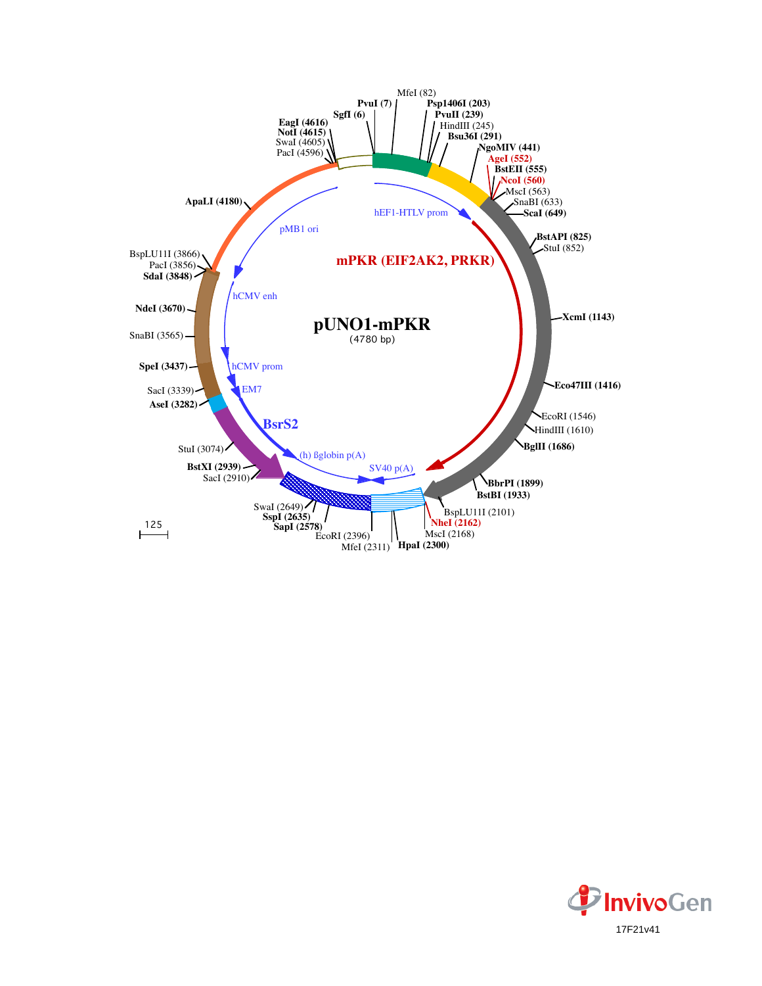

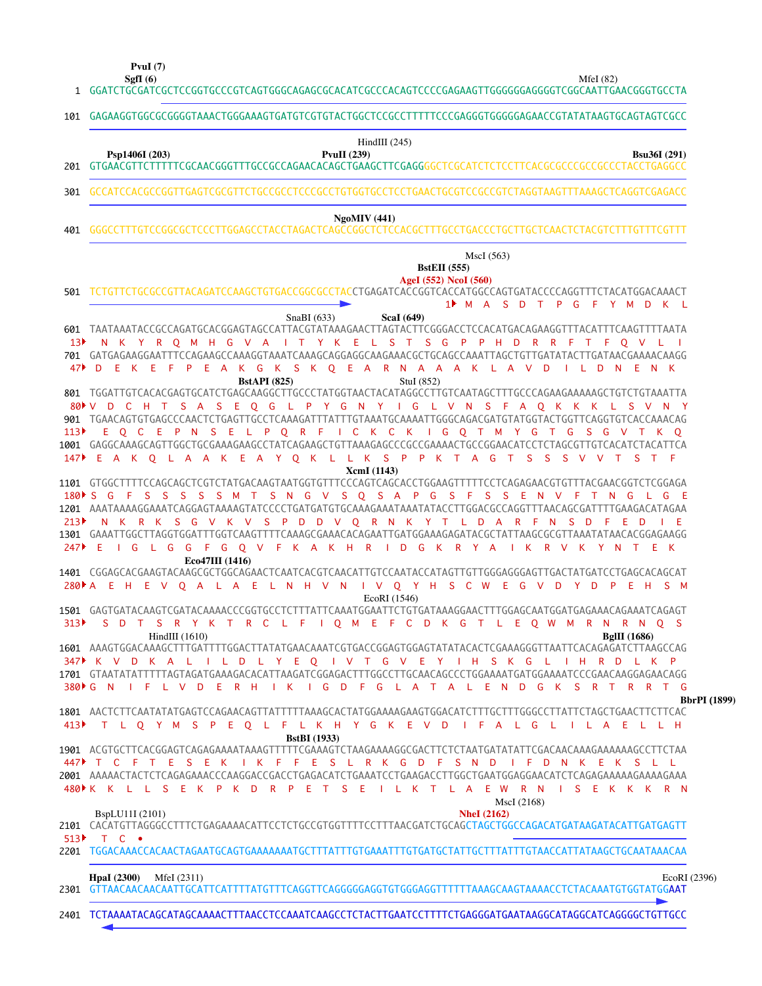**PvuI (7)**

|     | MfeI $(82)$<br>SgfI $(6)$<br>GGATCTGCGATCGCTCCGGTGCCCGTCAGTGGGCAGAGCGCACATCGCCCACAGTCCCCGAGAAGTTGGGGGGAGGGTCGGCAATTGAACGGGTGCCTA |
|-----|----------------------------------------------------------------------------------------------------------------------------------|
| 101 | GAGAAGGTGGCGCGGGGTAAACTGGGAAAGTGATGTCGTGTACTGGCTCCGCCTTTTTCCCGAGGGTGGGGGAGAACCGTATATAAGTGCAGTAGTCGCC                             |
| 201 | HindIII $(245)$<br><b>Bsu36I</b> (291)<br>Psp1406I (203)<br>PvuII $(239)$                                                        |
| 301 | GCCATCCACGCCGGTTGAGTCGCGTTCTGCCGCCTCCCGCCTGTGGTGCCTCCTGAACTGCGTCCGCCGTCTAGGTAAGTTTAAAGCTCAGGTCGAGACC                             |
| 401 | Ng oMIV (441)                                                                                                                    |
|     | MscI(563)<br><b>BstEII</b> (555)<br>AgeI (552) NcoI (560)                                                                        |

TCTGTTCTGCGCCGTTACAGATCCAAGCTGTGACCGGCGCCTACCTGAGATCACCGGTCACCATGGCCAGTGATACCCCAGGTTTCTACATGGACAAACT 501

|                   | TUTUTTU TUTUUUU TAUKUU TUURAA TUURAA UUTUU TALLEE TURUU TALLUU TURUU TALLA TUULUA TALLUU TUURUU TTU TALA TUURU    |                     |
|-------------------|-------------------------------------------------------------------------------------------------------------------|---------------------|
|                   | 1 M A S D T P G F Y M D K L                                                                                       |                     |
|                   | SnaBI (633)<br><b>ScaI</b> (649)                                                                                  |                     |
|                   | 601 TAATAAATACCGCCAGATGCACGGAGTAGCCATTACGTATAAAGAACTTAGTACTTCGGGACCTCCACATGACAGAAGGTTTACATTTCAAGTTTTAATA          |                     |
| 13 <sup>5</sup>   | N K Y R O M H G V A I T Y K E L S T S G P P H D R R F T F O V L I                                                 |                     |
|                   | 701 GATGAGAAGGAATTTCCAGAAGCCAAAGGTAAATCAAAGCAGGAGGCAAGAAACGCTGCAGCCAAATTAGCTGTTGATATACTTGATAACGAAAACAAGG          |                     |
| 47▶               | E K E F P E A K G K S K Q E A R N A A A K L A V D<br>- D<br>ILDNENK                                               |                     |
|                   | <b>BstAPI</b> (825)<br>StuI (852)                                                                                 |                     |
|                   |                                                                                                                   |                     |
|                   |                                                                                                                   |                     |
|                   | 80 V D C H T S A S E Q G L P Y G N Y I G L V N S F A Q K K K L S V N Y                                            |                     |
|                   |                                                                                                                   |                     |
| 113               | E O C E P N S E L P O R F I C K C K I G O T M Y G T G S G V T K O                                                 |                     |
|                   | 1001 GAGGCAAAGCAGTTGGCTGCGAAAGAAGCCTATCAGAAGCTGTTAAAGAGCCCGCGAAAACTGCCGGAACATCCTCTAGCGTTGTCACATCTACATTCA          |                     |
|                   | E A K O L A A K E A Y O K L L K S P P K T A G T S S S V V T                                                       |                     |
|                   | XcmI (1143)                                                                                                       |                     |
|                   | 1101 GTGGCTTTTCCAGCAGCTCGTCTATGACAAGTAATGGTGTTTCCCAGTCAGCACCTGGAAGTTTTTCCTCAGAGAACGTGTTTACGAACGGTCTCGGAGA         |                     |
|                   | F S S S S S M T S N G V S Q S A P G S F S S E N V F T N G L G E<br>$180 \text{ S}$ G                              |                     |
|                   |                                                                                                                   |                     |
|                   |                                                                                                                   |                     |
| 213               | N K R K S G V K V S P D D V Q R N K Y T L D A R F N S D F E D                                                     |                     |
|                   | 1301 GAAATTGGCTTAGGTGGATTTGGTCAAGTTTTCAAAGCGAAACACAGAATTGATGGAAAGAGATACGCTATTAAGCGCGTTAAATATAACACGGAGAAGG         |                     |
| 247               | I G L G G F G O V F K A K H R I D G K R Y A I K R V K<br>Æ<br>Y N<br>T                                            |                     |
|                   | Eco47III (1416)                                                                                                   |                     |
|                   |                                                                                                                   |                     |
| $280 \text{ A}$   | E H E V Q A L A E L N H V N I V Q Y H S C W E G V D Y D P E H S M                                                 |                     |
|                   | EcoRI (1546)                                                                                                      |                     |
|                   | 1501 GAGTGATACAAGTCGATACAAAACCCGGTGCCTCTTTATTCAAATGGAATTCTGTGATAAAGGAACTTTGGAGCAATGGATGAGAAACAGAAATCAGAGT         |                     |
| 313               | S D T S R Y K T R C L F I O M E F C D K G T L E O W M R N R N O S                                                 |                     |
|                   |                                                                                                                   |                     |
|                   | HindIII $(1610)$<br><b>BgIII</b> (1686)                                                                           |                     |
|                   | 1601 AAAGTGGACAAAGCTTTGATTTTGGACTTATATGAACAAATCGTGACCGGAGTGGAGTATATACACTCGAAAGGGTTAATTCACAGAGATCTTAAGCCAG         |                     |
|                   | 347 K V D K A L I L D L Y E O I V T G V E Y I H S K G L<br>I H R D<br>L K P                                       |                     |
|                   | 1701 GTAATATATTTTTAGTAGATGAAAGACACATTAAGATCGGAGACTTTGGCCTTGCAACAGCCCTGGAAAATGATGGAAAATCCCGAACAAGGAGAACAGG         |                     |
| $380 \text{ F}$ G | IFLVDERH<br>IKIGD FG LATALENDG<br><b>N</b><br>– K<br>-S<br>- R<br>T<br>RRT G                                      |                     |
|                   |                                                                                                                   | <b>BbrPI</b> (1899) |
|                   | 1801 AACTCTTCAATATATGAGTCCAGAACAGTTATTTTTAAAGCACTATGGAAAAGAAGTGGACATCTTTGCTTTGGGCCTTATTCTAGCTGAACTTCTTCAC         |                     |
| 413               | T L O Y M S P E O L F L K H Y G K E V D I F A L G L I L A E L L H                                                 |                     |
|                   | <b>BstBI</b> (1933)                                                                                               |                     |
|                   | 1901 ACGTGCTTCACGGAGTCAGAGAAAATAAAGTTTTTCGAAAGTCTAAGAAAAGGCGACTTCTCTAATGATATATTCGACAACAAAGAAAAAAGCCTTCTAA         |                     |
|                   | T C F T E S E K I K F F E S L R K G D F S N D<br>IFDNKEKSLL                                                       |                     |
|                   |                                                                                                                   |                     |
|                   | 2001 AAAAACTACTCTCAGAGAAACCCAAGGACCGACCTGAGACATCTGAAATCCTGAAGACCTTGGCTGAATGGAGGAACATCTCAGAGAAAAAGAAAAGAAA         |                     |
|                   | 480▶ K K L L S E K P K D R P E T S E I L K T L A E W R N I S E K K K R N                                          |                     |
|                   | MscI (2168)                                                                                                       |                     |
|                   | BspLU11I (2101)<br><b>NheI</b> (2162)                                                                             |                     |
|                   |                                                                                                                   |                     |
| 513               | $T^{\circ}$ C $\bullet$                                                                                           |                     |
|                   | 2201 TGGACAAACCACAACTAGAATGCAGTGAAAAAAATGCTTTATTTGTGAAATTTGTGATGCTATTGCTTTATTTGTAACCATTATAAGCTGCAATAAACAA         |                     |
|                   |                                                                                                                   |                     |
|                   | <b>HpaI</b> (2300)<br>MfeI (2311)<br>EcoRI (2396)                                                                 |                     |
|                   | 2301 GTTAACAACAACAATTGCATTCATTTTATGTTTCAGGTTCAGGGGGAGGTGTGGGAGGTTTTTTAAAGCAAGTAAAACCTCTACAAATGTGGTATGG <b>AAT</b> |                     |
|                   |                                                                                                                   |                     |
|                   |                                                                                                                   |                     |

TCTAAAATACAGCATAGCAAAACTTTAACCTCCAAATCAAGCCTCTACTTGAATCCTTTTCTGAGGGATGAATAAGGCATAGGCATCAGGGGCTGTTGCC 2401